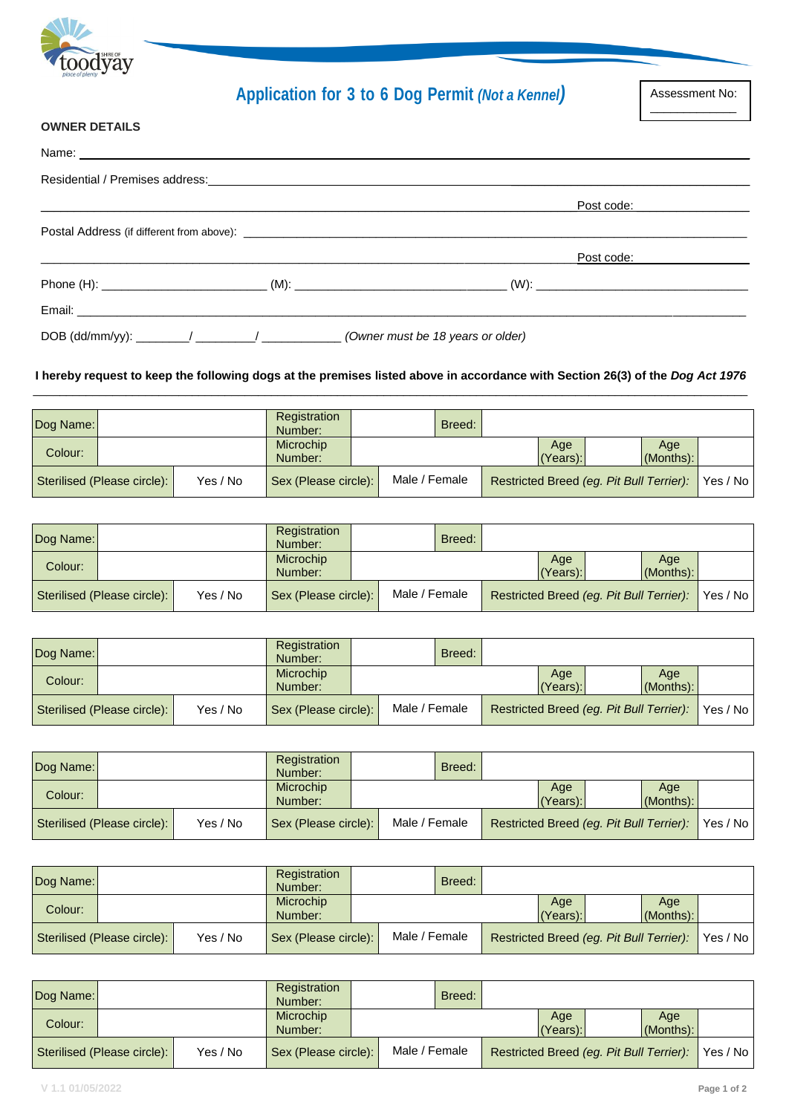

# **Application for 3 to 6 Dog Permit** *(Not a Kennel)*

Assessment No:  $\overline{\phantom{a}}$ 

#### **OWNER DETAILS**

|  | Post code: <u>________________</u>                                                |
|--|-----------------------------------------------------------------------------------|
|  |                                                                                   |
|  | _Post code: _________________                                                     |
|  |                                                                                   |
|  |                                                                                   |
|  | DOB (dd/mm/yy): _______/ _______/ _____________ (Owner must be 18 years or older) |

#### **I hereby request to keep the following dogs at the premises listed above in accordance with Section 26(3) of the** *Dog Act 1976* \_\_\_\_\_\_\_\_\_\_\_\_\_\_\_\_\_\_\_\_\_\_\_\_\_\_\_\_\_\_\_\_\_\_\_\_\_\_\_\_\_\_\_\_\_\_\_\_\_\_\_\_\_\_\_\_\_\_\_\_\_\_\_\_\_\_\_\_\_\_\_\_\_\_\_\_\_\_\_\_\_\_\_\_\_\_\_\_\_\_\_\_\_\_\_\_\_\_\_\_\_\_\_\_\_\_\_\_

| Dog Name: |                             |          | Registration<br>Number: |               | Breed: |                 |                                          |                     |            |
|-----------|-----------------------------|----------|-------------------------|---------------|--------|-----------------|------------------------------------------|---------------------|------------|
| Colour:   |                             |          | Microchip<br>Number:    |               |        | Age<br>(Years): |                                          | Age<br>$(Months)$ : |            |
|           | Sterilised (Please circle): | Yes / No | Sex (Please circle):    | Male / Female |        |                 | Restricted Breed (eq. Pit Bull Terrier): |                     | Yes / No I |

| Dog Name: |                             |          | Registration<br>Number: |               | Breed: |                                          |                 |                     |          |
|-----------|-----------------------------|----------|-------------------------|---------------|--------|------------------------------------------|-----------------|---------------------|----------|
| Colour:   |                             |          | Microchip<br>Number:    |               |        |                                          | Age<br>(Years): | Age<br>$(Months)$ : |          |
|           | Sterilised (Please circle): | Yes / No | Sex (Please circle):    | Male / Female |        | Restricted Breed (eg. Pit Bull Terrier): |                 |                     | Yes / No |

| Dog Name: |                             |          | Registration<br>Number: |               | Breed: |                                          |                     |          |
|-----------|-----------------------------|----------|-------------------------|---------------|--------|------------------------------------------|---------------------|----------|
| Colour:   |                             |          | Microchip<br>Number:    |               |        | Age<br>(Years):                          | Age<br>$(Months)$ : |          |
|           | Sterilised (Please circle): | Yes / No | Sex (Please circle):    | Male / Female |        | Restricted Breed (eq. Pit Bull Terrier): |                     | Yes / No |

| Dog Name: |                             |          | Registration<br>Number: |               | Breed: |                 |                                          |                     |          |
|-----------|-----------------------------|----------|-------------------------|---------------|--------|-----------------|------------------------------------------|---------------------|----------|
| Colour:   |                             |          | Microchip<br>Number:    |               |        | Age<br>(Years): |                                          | Age<br>$(Months)$ : |          |
|           | Sterilised (Please circle): | Yes / No | Sex (Please circle):    | Male / Female |        |                 | Restricted Breed (eq. Pit Bull Terrier): |                     | Yes / No |

| Dog Name: |                             |          | Registration<br>Number:     |               | Breed: |                 |                                          |                     |          |
|-----------|-----------------------------|----------|-----------------------------|---------------|--------|-----------------|------------------------------------------|---------------------|----------|
| Colour:   |                             |          | <b>Microchip</b><br>Number: |               |        | Age<br>(Years): |                                          | Age<br>$(Months)$ : |          |
|           | Sterilised (Please circle): | Yes / No | Sex (Please circle):        | Male / Female |        |                 | Restricted Breed (eq. Pit Bull Terrier): |                     | Yes / No |

| Dog Name: |                             |          | Registration<br>Number: |               | Breed: |                                          |                 |                     |            |
|-----------|-----------------------------|----------|-------------------------|---------------|--------|------------------------------------------|-----------------|---------------------|------------|
| Colour:   |                             |          | Microchip<br>Number:    |               |        |                                          | Age<br>(Years): | Age<br>$(Months)$ : |            |
|           | Sterilised (Please circle): | Yes / No | Sex (Please circle):    | Male / Female |        | Restricted Breed (eg. Pit Bull Terrier): |                 |                     | Yes / No I |